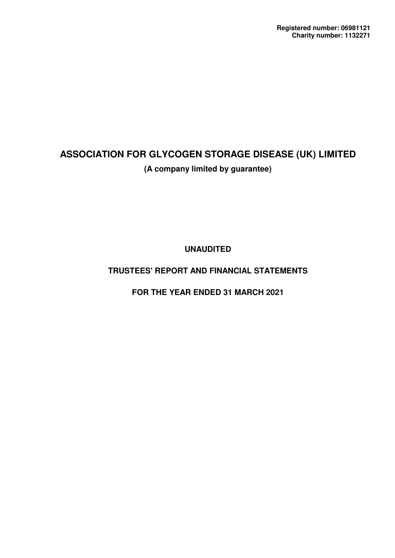**UNAUDITED**

### **TRUSTEES' REPORT AND FINANCIAL STATEMENTS**

**FOR THE YEAR ENDED 31 MARCH 2021**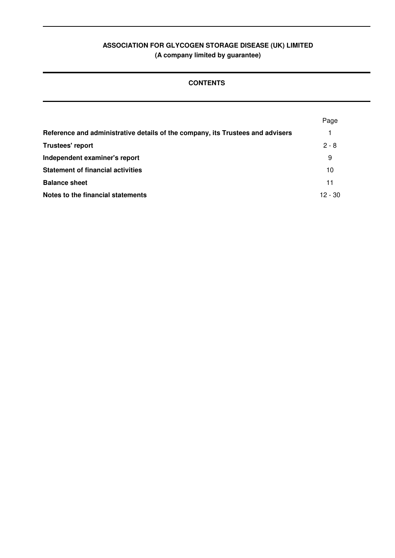### **CONTENTS**

|                                                                                | Page    |
|--------------------------------------------------------------------------------|---------|
| Reference and administrative details of the company, its Trustees and advisers |         |
| <b>Trustees' report</b>                                                        | $2 - 8$ |
| Independent examiner's report                                                  | 9       |
| <b>Statement of financial activities</b>                                       | 10      |
| <b>Balance sheet</b>                                                           | 11      |
| Notes to the financial statements                                              | 12 - 30 |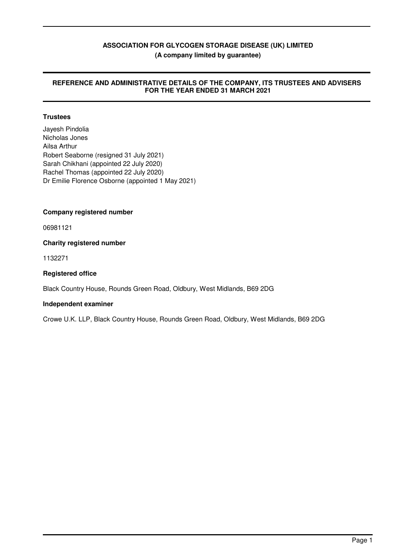#### **REFERENCE AND ADMINISTRATIVE DETAILS OF THE COMPANY, ITS TRUSTEES AND ADVISERS FOR THE YEAR ENDED 31 MARCH 2021**

#### **Trustees**

Jayesh Pindolia Nicholas Jones Ailsa Arthur Robert Seaborne (resigned 31 July 2021) Sarah Chikhani (appointed 22 July 2020) Rachel Thomas (appointed 22 July 2020) Dr Emilie Florence Osborne (appointed 1 May 2021)

#### **Company registered number**

06981121

**Charity registered number**

1132271

#### **Registered office**

Black Country House, Rounds Green Road, Oldbury, West Midlands, B69 2DG

#### **Independent examiner**

Crowe U.K. LLP, Black Country House, Rounds Green Road, Oldbury, West Midlands, B69 2DG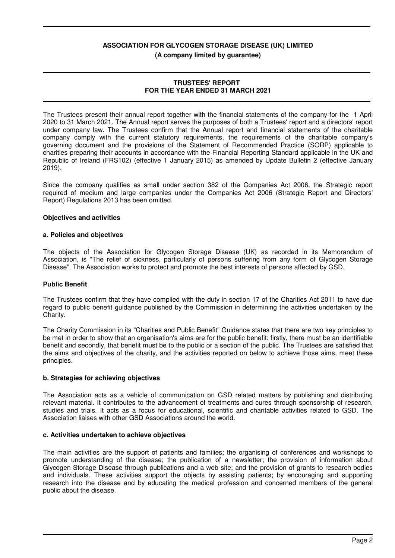**(A company limited by guarantee)**

#### **TRUSTEES' REPORT FOR THE YEAR ENDED 31 MARCH 2021**

The Trustees present their annual report together with the financial statements of the company for the 1 April 2020 to 31 March 2021. The Annual report serves the purposes of both a Trustees' report and a directors' report under company law. The Trustees confirm that the Annual report and financial statements of the charitable company comply with the current statutory requirements, the requirements of the charitable company's governing document and the provisions of the Statement of Recommended Practice (SORP) applicable to charities preparing their accounts in accordance with the Financial Reporting Standard applicable in the UK and Republic of Ireland (FRS102) (effective 1 January 2015) as amended by Update Bulletin 2 (effective January 2019).

Since the company qualifies as small under section 382 of the Companies Act 2006, the Strategic report required of medium and large companies under the Companies Act 2006 (Strategic Report and Directors' Report) Regulations 2013 has been omitted.

#### **Objectives and activities**

#### **a. Policies and objectives**

The objects of the Association for Glycogen Storage Disease (UK) as recorded in its Memorandum of Association, is "The relief of sickness, particularly of persons suffering from any form of Glycogen Storage Disease". The Association works to protect and promote the best interests of persons affected by GSD.

#### **Public Benefit**

The Trustees confirm that they have complied with the duty in section 17 of the Charities Act 2011 to have due regard to public benefit guidance published by the Commission in determining the activities undertaken by the Charity.

The Charity Commission in its "Charities and Public Benefit" Guidance states that there are two key principles to be met in order to show that an organisation's aims are for the public benefit: firstly, there must be an identifiable benefit and secondly, that benefit must be to the public or a section of the public. The Trustees are satisfied that the aims and objectives of the charity, and the activities reported on below to achieve those aims, meet these principles.

#### **b. Strategies for achieving objectives**

The Association acts as a vehicle of communication on GSD related matters by publishing and distributing relevant material. It contributes to the advancement of treatments and cures through sponsorship of research, studies and trials. It acts as a focus for educational, scientific and charitable activities related to GSD. The Association liaises with other GSD Associations around the world.

#### **c. Activities undertaken to achieve objectives**

The main activities are the support of patients and families; the organising of conferences and workshops to promote understanding of the disease; the publication of a newsletter; the provision of information about Glycogen Storage Disease through publications and a web site; and the provision of grants to research bodies and individuals. These activities support the objects by assisting patients; by encouraging and supporting research into the disease and by educating the medical profession and concerned members of the general public about the disease.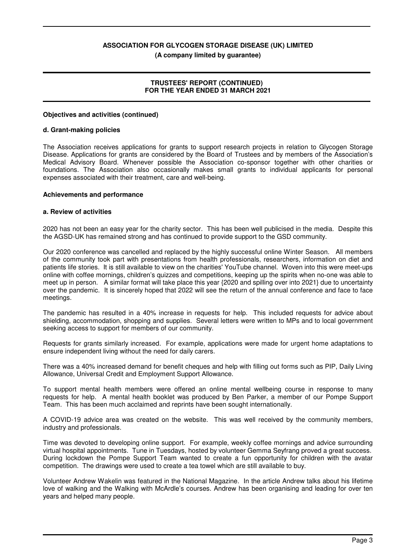**(A company limited by guarantee)**

#### **TRUSTEES' REPORT (CONTINUED) FOR THE YEAR ENDED 31 MARCH 2021**

#### **Objectives and activities (continued)**

#### **d. Grant-making policies**

The Association receives applications for grants to support research projects in relation to Glycogen Storage Disease. Applications for grants are considered by the Board of Trustees and by members of the Association's Medical Advisory Board. Whenever possible the Association co-sponsor together with other charities or foundations. The Association also occasionally makes small grants to individual applicants for personal expenses associated with their treatment, care and well-being.

#### **Achievements and performance**

#### **a. Review of activities**

2020 has not been an easy year for the charity sector. This has been well publicised in the media. Despite this the AGSD-UK has remained strong and has continued to provide support to the GSD community.

Our 2020 conference was cancelled and replaced by the highly successful online Winter Season. All members of the community took part with presentations from health professionals, researchers, information on diet and patients life stories. It is still available to view on the charities' YouTube channel. Woven into this were meet-ups online with coffee mornings, children's quizzes and competitions, keeping up the spirits when no-one was able to meet up in person. A similar format will take place this year {2020 and spilling over into 2021} due to uncertainty over the pandemic. It is sincerely hoped that 2022 will see the return of the annual conference and face to face meetings.

The pandemic has resulted in a 40% increase in requests for help. This included requests for advice about shielding, accommodation, shopping and supplies. Several letters were written to MPs and to local government seeking access to support for members of our community.

Requests for grants similarly increased. For example, applications were made for urgent home adaptations to ensure independent living without the need for daily carers.

There was a 40% increased demand for benefit cheques and help with filling out forms such as PIP, Daily Living Allowance, Universal Credit and Employment Support Allowance.

To support mental health members were offered an online mental wellbeing course in response to many requests for help. A mental health booklet was produced by Ben Parker, a member of our Pompe Support Team. This has been much acclaimed and reprints have been sought internationally.

A COVID-19 advice area was created on the website. This was well received by the community members, industry and professionals.

Time was devoted to developing online support. For example, weekly coffee mornings and advice surrounding virtual hospital appointments. Tune in Tuesdays, hosted by volunteer Gemma Seyfrang proved a great success. During lockdown the Pompe Support Team wanted to create a fun opportunity for children with the avatar competition. The drawings were used to create a tea towel which are still available to buy.

Volunteer Andrew Wakelin was featured in the National Magazine. In the article Andrew talks about his lifetime love of walking and the Walking with McArdle's courses. Andrew has been organising and leading for over ten years and helped many people.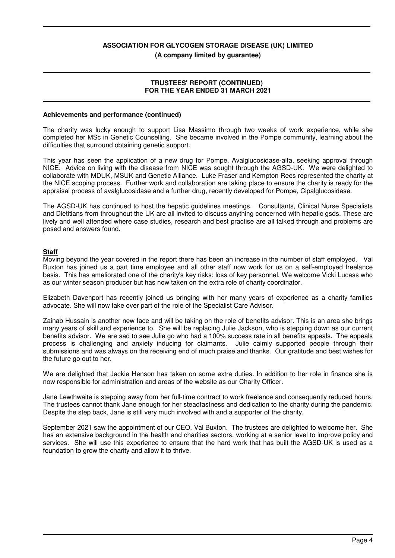#### **(A company limited by guarantee)**

#### **TRUSTEES' REPORT (CONTINUED) FOR THE YEAR ENDED 31 MARCH 2021**

#### **Achievements and performance (continued)**

The charity was lucky enough to support Lisa Massimo through two weeks of work experience, while she completed her MSc in Genetic Counselling. She became involved in the Pompe community, learning about the difficulties that surround obtaining genetic support.

This year has seen the application of a new drug for Pompe, Avalglucosidase-alfa, seeking approval through NICE. Advice on living with the disease from NICE was sought through the AGSD-UK. We were delighted to collaborate with MDUK, MSUK and Genetic Alliance. Luke Fraser and Kempton Rees represented the charity at the NICE scoping process. Further work and collaboration are taking place to ensure the charity is ready for the appraisal process of avalglucosidase and a further drug, recently developed for Pompe, Cipalglucosidase.

The AGSD-UK has continued to host the hepatic guidelines meetings. Consultants, Clinical Nurse Specialists and Dietitians from throughout the UK are all invited to discuss anything concerned with hepatic gsds. These are lively and well attended where case studies, research and best practise are all talked through and problems are posed and answers found.

#### **Staff**

Moving beyond the year covered in the report there has been an increase in the number of staff employed. Val Buxton has joined us a part time employee and all other staff now work for us on a self-employed freelance basis. This has ameliorated one of the charity's key risks; loss of key personnel. We welcome Vicki Lucass who as our winter season producer but has now taken on the extra role of charity coordinator.

Elizabeth Davenport has recently joined us bringing with her many years of experience as a charity families advocate. She will now take over part of the role of the Specialist Care Advisor.

Zainab Hussain is another new face and will be taking on the role of benefits advisor. This is an area she brings many years of skill and experience to. She will be replacing Julie Jackson, who is stepping down as our current benefits advisor. We are sad to see Julie go who had a 100% success rate in all benefits appeals. The appeals process is challenging and anxiety inducing for claimants. Julie calmly supported people through their submissions and was always on the receiving end of much praise and thanks. Our gratitude and best wishes for the future go out to her.

We are delighted that Jackie Henson has taken on some extra duties. In addition to her role in finance she is now responsible for administration and areas of the website as our Charity Officer.

Jane Lewthwaite is stepping away from her full-time contract to work freelance and consequently reduced hours. The trustees cannot thank Jane enough for her steadfastness and dedication to the charity during the pandemic. Despite the step back, Jane is still very much involved with and a supporter of the charity.

September 2021 saw the appointment of our CEO, Val Buxton. The trustees are delighted to welcome her. She has an extensive background in the health and charities sectors, working at a senior level to improve policy and services. She will use this experience to ensure that the hard work that has built the AGSD-UK is used as a foundation to grow the charity and allow it to thrive.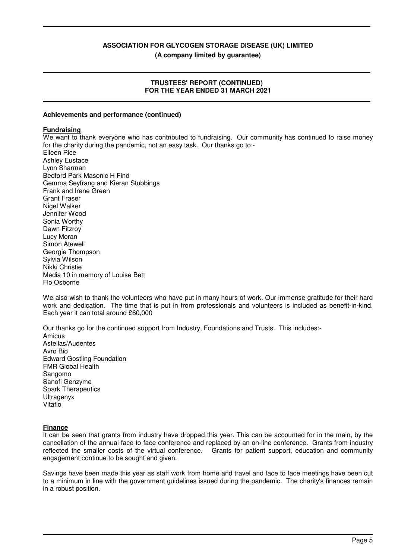**(A company limited by guarantee)**

#### **TRUSTEES' REPORT (CONTINUED) FOR THE YEAR ENDED 31 MARCH 2021**

#### **Achievements and performance (continued)**

#### **Fundraising**

We want to thank everyone who has contributed to fundraising. Our community has continued to raise money for the charity during the pandemic, not an easy task. Our thanks go to:-

Eileen Rice Ashley Eustace Lynn Sharman Bedford Park Masonic H Find Gemma Seyfrang and Kieran Stubbings Frank and Irene Green Grant Fraser Nigel Walker Jennifer Wood Sonia Worthy Dawn Fitzroy Lucy Moran Simon Atewell Georgie Thompson Sylvia Wilson Nikki Christie Media 10 in memory of Louise Bett Flo Osborne

We also wish to thank the volunteers who have put in many hours of work. Our immense gratitude for their hard work and dedication. The time that is put in from professionals and volunteers is included as benefit-in-kind. Each year it can total around £60,000

Our thanks go for the continued support from Industry, Foundations and Trusts. This includes:-

Amicus Astellas/Audentes Avro Bio Edward Gostling Foundation FMR Global Health Sangomo Sanofi Genzyme Spark Therapeutics Ultragenyx Vitaflo

#### **Finance**

It can be seen that grants from industry have dropped this year. This can be accounted for in the main, by the cancellation of the annual face to face conference and replaced by an on-line conference. Grants from industry reflected the smaller costs of the virtual conference. Grants for patient support, education and community engagement continue to be sought and given.

Savings have been made this year as staff work from home and travel and face to face meetings have been cut to a minimum in line with the government guidelines issued during the pandemic. The charity's finances remain in a robust position.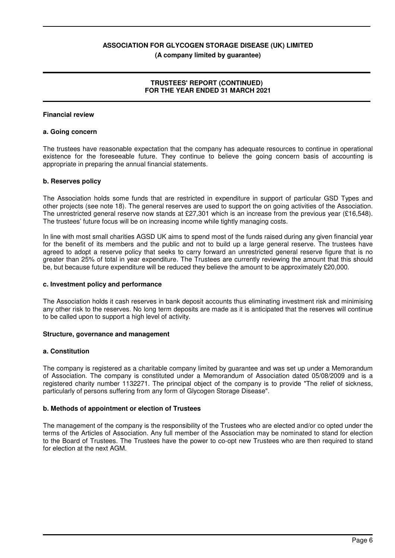**(A company limited by guarantee)**

#### **TRUSTEES' REPORT (CONTINUED) FOR THE YEAR ENDED 31 MARCH 2021**

#### **Financial review**

#### **a. Going concern**

The trustees have reasonable expectation that the company has adequate resources to continue in operational existence for the foreseeable future. They continue to believe the going concern basis of accounting is appropriate in preparing the annual financial statements.

#### **b. Reserves policy**

The Association holds some funds that are restricted in expenditure in support of particular GSD Types and other projects (see note 18). The general reserves are used to support the on going activities of the Association. The unrestricted general reserve now stands at £27,301 which is an increase from the previous year (£16,548). The trustees' future focus will be on increasing income while tightly managing costs.

In line with most small charities AGSD UK aims to spend most of the funds raised during any given financial year for the benefit of its members and the public and not to build up a large general reserve. The trustees have agreed to adopt a reserve policy that seeks to carry forward an unrestricted general reserve figure that is no greater than 25% of total in year expenditure. The Trustees are currently reviewing the amount that this should be, but because future expenditure will be reduced they believe the amount to be approximately £20,000.

#### **c. Investment policy and performance**

The Association holds it cash reserves in bank deposit accounts thus eliminating investment risk and minimising any other risk to the reserves. No long term deposits are made as it is anticipated that the reserves will continue to be called upon to support a high level of activity.

#### **Structure, governance and management**

#### **a. Constitution**

The company is registered as a charitable company limited by guarantee and was set up under a Memorandum of Association. The company is constituted under a Memorandum of Association dated 05/08/2009 and is a registered charity number 1132271. The principal object of the company is to provide "The relief of sickness, particularly of persons suffering from any form of Glycogen Storage Disease".

#### **b. Methods of appointment or election of Trustees**

The management of the company is the responsibility of the Trustees who are elected and/or co opted under the terms of the Articles of Association. Any full member of the Association may be nominated to stand for election to the Board of Trustees. The Trustees have the power to co-opt new Trustees who are then required to stand for election at the next AGM.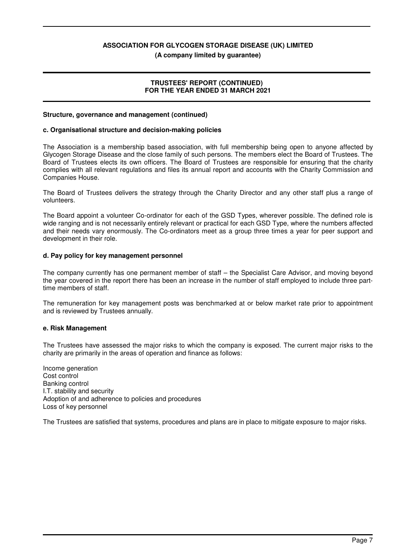**(A company limited by guarantee)**

#### **TRUSTEES' REPORT (CONTINUED) FOR THE YEAR ENDED 31 MARCH 2021**

#### **Structure, governance and management (continued)**

#### **c. Organisational structure and decision-making policies**

The Association is a membership based association, with full membership being open to anyone affected by Glycogen Storage Disease and the close family of such persons. The members elect the Board of Trustees. The Board of Trustees elects its own officers. The Board of Trustees are responsible for ensuring that the charity complies with all relevant regulations and files its annual report and accounts with the Charity Commission and Companies House.

The Board of Trustees delivers the strategy through the Charity Director and any other staff plus a range of volunteers.

The Board appoint a volunteer Co-ordinator for each of the GSD Types, wherever possible. The defined role is wide ranging and is not necessarily entirely relevant or practical for each GSD Type, where the numbers affected and their needs vary enormously. The Co-ordinators meet as a group three times a year for peer support and development in their role.

#### **d. Pay policy for key management personnel**

The company currently has one permanent member of staff – the Specialist Care Advisor, and moving beyond the year covered in the report there has been an increase in the number of staff employed to include three parttime members of staff.

The remuneration for key management posts was benchmarked at or below market rate prior to appointment and is reviewed by Trustees annually.

#### **e. Risk Management**

The Trustees have assessed the major risks to which the company is exposed. The current major risks to the charity are primarily in the areas of operation and finance as follows:

Income generation Cost control Banking control I.T. stability and security Adoption of and adherence to policies and procedures Loss of key personnel

The Trustees are satisfied that systems, procedures and plans are in place to mitigate exposure to major risks.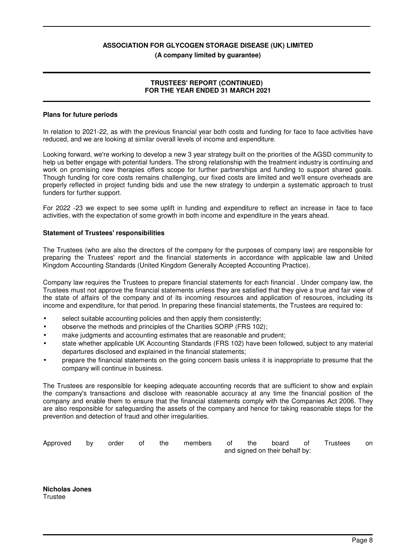#### **(A company limited by guarantee)**

#### **TRUSTEES' REPORT (CONTINUED) FOR THE YEAR ENDED 31 MARCH 2021**

#### **Plans for future periods**

In relation to 2021-22, as with the previous financial year both costs and funding for face to face activities have reduced, and we are looking at similar overall levels of income and expenditure.

Looking forward, we're working to develop a new 3 year strategy built on the priorities of the AGSD community to help us better engage with potential funders. The strong relationship with the treatment industry is continuing and work on promising new therapies offers scope for further partnerships and funding to support shared goals. Though funding for core costs remains challenging, our fixed costs are limited and we'll ensure overheads are properly reflected in project funding bids and use the new strategy to underpin a systematic approach to trust funders for further support.

For 2022 -23 we expect to see some uplift in funding and expenditure to reflect an increase in face to face activities, with the expectation of some growth in both income and expenditure in the years ahead.

#### **Statement of Trustees' responsibilities**

The Trustees (who are also the directors of the company for the purposes of company law) are responsible for preparing the Trustees' report and the financial statements in accordance with applicable law and United Kingdom Accounting Standards (United Kingdom Generally Accepted Accounting Practice).

Company law requires the Trustees to prepare financial statements for each financial . Under company law, the Trustees must not approve the financial statements unless they are satisfied that they give a true and fair view of the state of affairs of the company and of its incoming resources and application of resources, including its income and expenditure, for that period. In preparing these financial statements, the Trustees are required to:

- select suitable accounting policies and then apply them consistently:
- observe the methods and principles of the Charities SORP (FRS 102);
- make judgments and accounting estimates that are reasonable and prudent;
- state whether applicable UK Accounting Standards (FRS 102) have been followed, subject to any material departures disclosed and explained in the financial statements;
- prepare the financial statements on the going concern basis unless it is inappropriate to presume that the company will continue in business.

The Trustees are responsible for keeping adequate accounting records that are sufficient to show and explain the company's transactions and disclose with reasonable accuracy at any time the financial position of the company and enable them to ensure that the financial statements comply with the Companies Act 2006. They are also responsible for safeguarding the assets of the company and hence for taking reasonable steps for the prevention and detection of fraud and other irregularities.

| Approved | <b>by</b> | order | of | the | members of | the the the the state of the state of the state of the state of the state of the state of the state of the sta | board of                       | Trustees | on |
|----------|-----------|-------|----|-----|------------|----------------------------------------------------------------------------------------------------------------|--------------------------------|----------|----|
|          |           |       |    |     |            |                                                                                                                | and signed on their behalf by: |          |    |

**Nicholas Jones Trustee**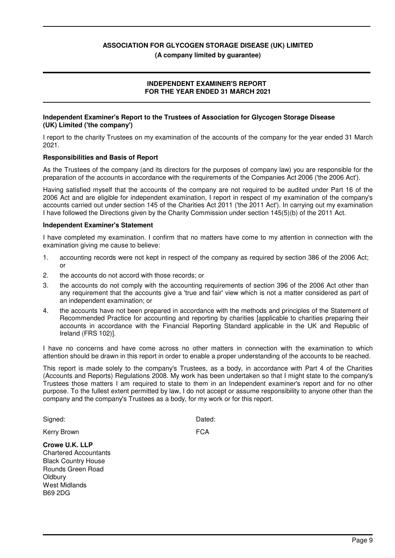**(A company limited by guarantee)**

#### **INDEPENDENT EXAMINER'S REPORT FOR THE YEAR ENDED 31 MARCH 2021**

#### **Independent Examiner's Report to the Trustees of Association for Glycogen Storage Disease (UK) Limited ('the company')**

I report to the charity Trustees on my examination of the accounts of the company for the year ended 31 March 2021.

#### **Responsibilities and Basis of Report**

As the Trustees of the company (and its directors for the purposes of company law) you are responsible for the preparation of the accounts in accordance with the requirements of the Companies Act 2006 ('the 2006 Act').

Having satisfied myself that the accounts of the company are not required to be audited under Part 16 of the 2006 Act and are eligible for independent examination, I report in respect of my examination of the company's accounts carried out under section 145 of the Charities Act 2011 ('the 2011 Act'). In carrying out my examination I have followed the Directions given by the Charity Commission under section 145(5)(b) of the 2011 Act.

#### **Independent Examiner's Statement**

Rounds Green Road

**Oldbury** West Midlands B69 2DG

I have completed my examination. I confirm that no matters have come to my attention in connection with the examination giving me cause to believe:

- 1. accounting records were not kept in respect of the company as required by section 386 of the 2006 Act; or
- 2. the accounts do not accord with those records; or
- 3. the accounts do not comply with the accounting requirements of section 396 of the 2006 Act other than any requirement that the accounts give a 'true and fair' view which is not a matter considered as part of an independent examination; or
- 4. the accounts have not been prepared in accordance with the methods and principles of the Statement of Recommended Practice for accounting and reporting by charities [applicable to charities preparing their accounts in accordance with the Financial Reporting Standard applicable in the UK and Republic of Ireland (FRS 102)].

I have no concerns and have come across no other matters in connection with the examination to which attention should be drawn in this report in order to enable a proper understanding of the accounts to be reached.

This report is made solely to the company's Trustees, as a body, in accordance with Part 4 of the Charities (Accounts and Reports) Regulations 2008. My work has been undertaken so that I might state to the company's Trustees those matters I am required to state to them in an Independent examiner's report and for no other purpose. To the fullest extent permitted by law, I do not accept or assume responsibility to anyone other than the company and the company's Trustees as a body, for my work or for this report.

| Signed:                      | Dated: |
|------------------------------|--------|
| Kerry Brown                  | FCA    |
| Crowe U.K. LLP               |        |
| <b>Chartered Accountants</b> |        |
| <b>Black Country House</b>   |        |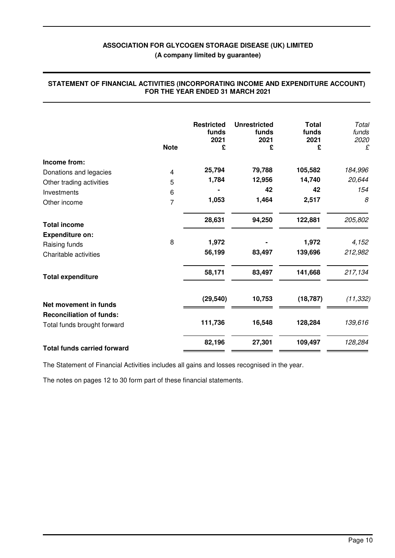|                                    | <b>Note</b>    | <b>Restricted</b><br>funds<br>2021<br>£ | <b>Unrestricted</b><br>funds<br>2021<br>£ | <b>Total</b><br>funds<br>2021<br>£ | Total<br>funds<br>2020<br>£ |
|------------------------------------|----------------|-----------------------------------------|-------------------------------------------|------------------------------------|-----------------------------|
| Income from:                       |                |                                         |                                           |                                    |                             |
| Donations and legacies             | 4              | 25,794                                  | 79,788                                    | 105,582                            | 184,996                     |
| Other trading activities           | 5              | 1,784                                   | 12,956                                    | 14,740                             | 20,644                      |
| Investments                        | 6              |                                         | 42                                        | 42                                 | 154                         |
| Other income                       | $\overline{7}$ | 1,053                                   | 1,464                                     | 2,517                              | 8                           |
| <b>Total income</b>                |                | 28,631                                  | 94,250                                    | 122,881                            | 205,802                     |
| <b>Expenditure on:</b>             |                |                                         |                                           |                                    |                             |
| Raising funds                      | 8              | 1,972                                   |                                           | 1,972                              | 4,152                       |
| Charitable activities              |                | 56,199                                  | 83,497                                    | 139,696                            | 212,982                     |
| <b>Total expenditure</b>           |                | 58,171                                  | 83,497                                    | 141,668                            | 217,134                     |
| Net movement in funds              |                | (29, 540)                               | 10,753                                    | (18, 787)                          | (11, 332)                   |
| <b>Reconciliation of funds:</b>    |                |                                         |                                           |                                    |                             |
| Total funds brought forward        |                | 111,736                                 | 16,548                                    | 128,284                            | 139,616                     |
| <b>Total funds carried forward</b> |                | 82,196                                  | 27,301                                    | 109,497                            | 128,284                     |

#### **STATEMENT OF FINANCIAL ACTIVITIES (INCORPORATING INCOME AND EXPENDITURE ACCOUNT) FOR THE YEAR ENDED 31 MARCH 2021**

The Statement of Financial Activities includes all gains and losses recognised in the year.

The notes on pages 12 to 30 form part of these financial statements.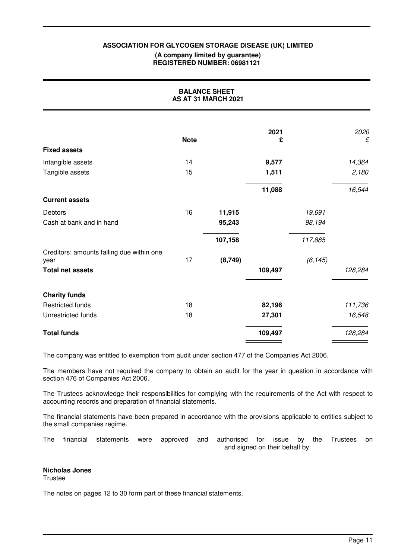#### **(A company limited by guarantee) REGISTERED NUMBER: 06981121**

| <b>BALANCE SHEET</b><br>AS AT 31 MARCH 2021       |             |          |           |          |           |  |
|---------------------------------------------------|-------------|----------|-----------|----------|-----------|--|
|                                                   | <b>Note</b> |          | 2021<br>£ |          | 2020<br>£ |  |
| <b>Fixed assets</b>                               |             |          |           |          |           |  |
| Intangible assets                                 | 14          |          | 9,577     |          | 14,364    |  |
| Tangible assets                                   | 15          |          | 1,511     |          | 2,180     |  |
|                                                   |             |          | 11,088    |          | 16,544    |  |
| <b>Current assets</b>                             |             |          |           |          |           |  |
| Debtors                                           | 16          | 11,915   |           | 19,691   |           |  |
| Cash at bank and in hand                          |             | 95,243   |           | 98,194   |           |  |
|                                                   |             | 107,158  |           | 117,885  |           |  |
| Creditors: amounts falling due within one<br>year | 17          | (8, 749) |           | (6, 145) |           |  |
| <b>Total net assets</b>                           |             |          | 109,497   |          | 128,284   |  |
| <b>Charity funds</b>                              |             |          |           |          |           |  |
| <b>Restricted funds</b>                           | 18          |          | 82,196    |          | 111,736   |  |
| Unrestricted funds                                | 18          |          | 27,301    |          | 16,548    |  |
| <b>Total funds</b>                                |             |          | 109,497   |          | 128,284   |  |

The company was entitled to exemption from audit under section 477 of the Companies Act 2006.

The members have not required the company to obtain an audit for the year in question in accordance with section 476 of Companies Act 2006.

The Trustees acknowledge their responsibilities for complying with the requirements of the Act with respect to accounting records and preparation of financial statements.

The financial statements have been prepared in accordance with the provisions applicable to entities subject to the small companies regime.

The financial statements were approved and authorised for issue by the Trustees on and signed on their behalf by:

#### **Nicholas Jones**

**Trustee** 

The notes on pages 12 to 30 form part of these financial statements.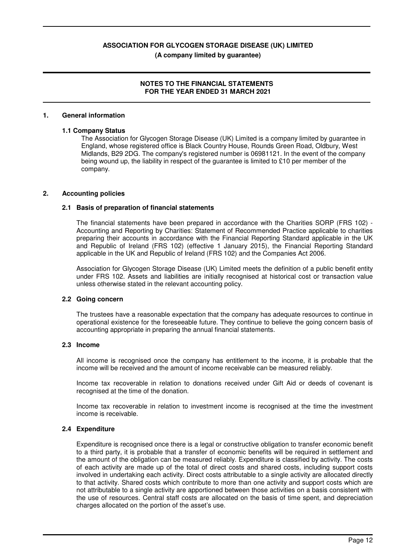#### **NOTES TO THE FINANCIAL STATEMENTS FOR THE YEAR ENDED 31 MARCH 2021**

#### **1. General information**

#### **1.1 Company Status**

The Association for Glycogen Storage Disease (UK) Limited is a company limited by guarantee in England, whose registered office is Black Country House, Rounds Green Road, Oldbury, West Midlands, B29 2DG. The company's registered number is 06981121. In the event of the company being wound up, the liability in respect of the guarantee is limited to £10 per member of the company.

#### **2. Accounting policies**

#### **2.1 Basis of preparation of financial statements**

The financial statements have been prepared in accordance with the Charities SORP (FRS 102) - Accounting and Reporting by Charities: Statement of Recommended Practice applicable to charities preparing their accounts in accordance with the Financial Reporting Standard applicable in the UK and Republic of Ireland (FRS 102) (effective 1 January 2015), the Financial Reporting Standard applicable in the UK and Republic of Ireland (FRS 102) and the Companies Act 2006.

Association for Glycogen Storage Disease (UK) Limited meets the definition of a public benefit entity under FRS 102. Assets and liabilities are initially recognised at historical cost or transaction value unless otherwise stated in the relevant accounting policy.

#### **2.2 Going concern**

The trustees have a reasonable expectation that the company has adequate resources to continue in operational existence for the foreseeable future. They continue to believe the going concern basis of accounting appropriate in preparing the annual financial statements.

#### **2.3 Income**

All income is recognised once the company has entitlement to the income, it is probable that the income will be received and the amount of income receivable can be measured reliably.

Income tax recoverable in relation to donations received under Gift Aid or deeds of covenant is recognised at the time of the donation.

Income tax recoverable in relation to investment income is recognised at the time the investment income is receivable.

#### **2.4 Expenditure**

Expenditure is recognised once there is a legal or constructive obligation to transfer economic benefit to a third party, it is probable that a transfer of economic benefits will be required in settlement and the amount of the obligation can be measured reliably. Expenditure is classified by activity. The costs of each activity are made up of the total of direct costs and shared costs, including support costs involved in undertaking each activity. Direct costs attributable to a single activity are allocated directly to that activity. Shared costs which contribute to more than one activity and support costs which are not attributable to a single activity are apportioned between those activities on a basis consistent with the use of resources. Central staff costs are allocated on the basis of time spent, and depreciation charges allocated on the portion of the asset's use.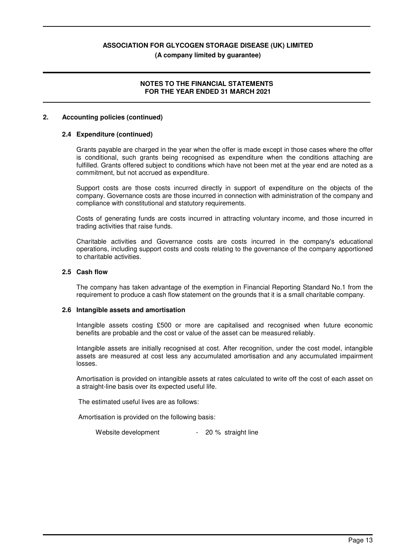#### **(A company limited by guarantee)**

#### **NOTES TO THE FINANCIAL STATEMENTS FOR THE YEAR ENDED 31 MARCH 2021**

#### **2. Accounting policies (continued)**

#### **2.4 Expenditure (continued)**

Grants payable are charged in the year when the offer is made except in those cases where the offer is conditional, such grants being recognised as expenditure when the conditions attaching are fulfilled. Grants offered subject to conditions which have not been met at the year end are noted as a commitment, but not accrued as expenditure.

Support costs are those costs incurred directly in support of expenditure on the objects of the company. Governance costs are those incurred in connection with administration of the company and compliance with constitutional and statutory requirements.

Costs of generating funds are costs incurred in attracting voluntary income, and those incurred in trading activities that raise funds.

Charitable activities and Governance costs are costs incurred in the company's educational operations, including support costs and costs relating to the governance of the company apportioned to charitable activities.

#### **2.5 Cash flow**

The company has taken advantage of the exemption in Financial Reporting Standard No.1 from the requirement to produce a cash flow statement on the grounds that it is a small charitable company.

#### **2.6 Intangible assets and amortisation**

Intangible assets costing £500 or more are capitalised and recognised when future economic benefits are probable and the cost or value of the asset can be measured reliably.

Intangible assets are initially recognised at cost. After recognition, under the cost model, intangible assets are measured at cost less any accumulated amortisation and any accumulated impairment losses.

Amortisation is provided on intangible assets at rates calculated to write off the cost of each asset on a straight-line basis over its expected useful life.

The estimated useful lives are as follows:

Amortisation is provided on the following basis:

Website development - 20 % straight line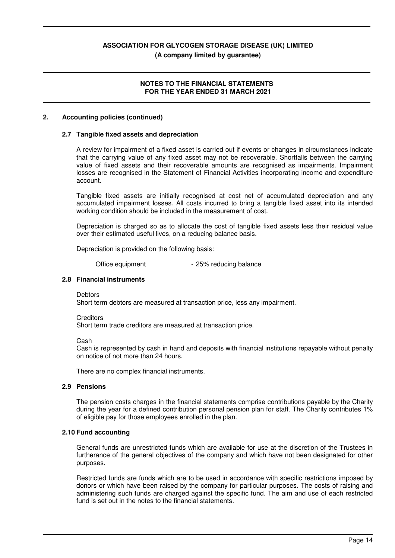#### **(A company limited by guarantee)**

#### **NOTES TO THE FINANCIAL STATEMENTS FOR THE YEAR ENDED 31 MARCH 2021**

#### **2. Accounting policies (continued)**

#### **2.7 Tangible fixed assets and depreciation**

A review for impairment of a fixed asset is carried out if events or changes in circumstances indicate that the carrying value of any fixed asset may not be recoverable. Shortfalls between the carrying value of fixed assets and their recoverable amounts are recognised as impairments. Impairment losses are recognised in the Statement of Financial Activities incorporating income and expenditure account.

Tangible fixed assets are initially recognised at cost net of accumulated depreciation and any accumulated impairment losses. All costs incurred to bring a tangible fixed asset into its intended working condition should be included in the measurement of cost.

Depreciation is charged so as to allocate the cost of tangible fixed assets less their residual value over their estimated useful lives, on a reducing balance basis.

Depreciation is provided on the following basis:

Office equipment - 25% reducing balance

#### **2.8 Financial instruments**

**Debtors** 

Short term debtors are measured at transaction price, less any impairment.

**Creditors** 

Short term trade creditors are measured at transaction price.

Cash

Cash is represented by cash in hand and deposits with financial institutions repayable without penalty on notice of not more than 24 hours.

There are no complex financial instruments.

#### **2.9 Pensions**

The pension costs charges in the financial statements comprise contributions payable by the Charity during the year for a defined contribution personal pension plan for staff. The Charity contributes 1% of eligible pay for those employees enrolled in the plan.

#### **2.10 Fund accounting**

General funds are unrestricted funds which are available for use at the discretion of the Trustees in furtherance of the general objectives of the company and which have not been designated for other purposes.

Restricted funds are funds which are to be used in accordance with specific restrictions imposed by donors or which have been raised by the company for particular purposes. The costs of raising and administering such funds are charged against the specific fund. The aim and use of each restricted fund is set out in the notes to the financial statements.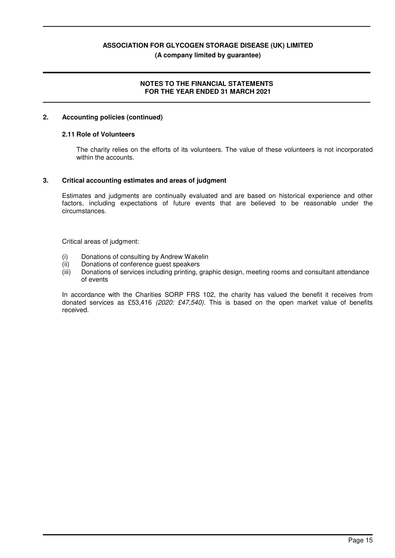#### **NOTES TO THE FINANCIAL STATEMENTS FOR THE YEAR ENDED 31 MARCH 2021**

#### **2. Accounting policies (continued)**

#### **2.11 Role of Volunteers**

The charity relies on the efforts of its volunteers. The value of these volunteers is not incorporated within the accounts.

#### **3. Critical accounting estimates and areas of judgment**

Estimates and judgments are continually evaluated and are based on historical experience and other factors, including expectations of future events that are believed to be reasonable under the circumstances.

Critical areas of judgment:

- (i) Donations of consulting by Andrew Wakelin
- (ii) Donations of conference guest speakers
- (iii) Donations of services including printing, graphic design, meeting rooms and consultant attendance of events

In accordance with the Charities SORP FRS 102, the charity has valued the benefit it receives from donated services as £53,416 *(2020: £47,540).* This is based on the open market value of benefits received.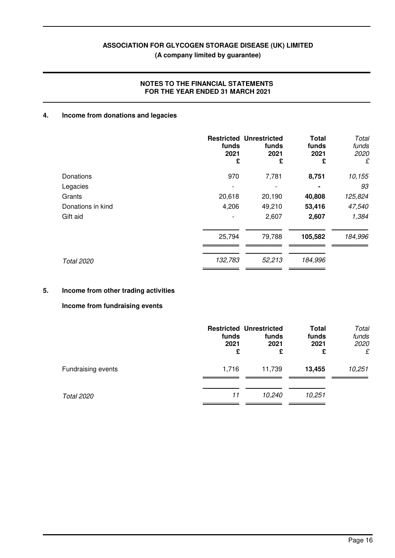#### **NOTES TO THE FINANCIAL STATEMENTS FOR THE YEAR ENDED 31 MARCH 2021**

#### **4. Income from donations and legacies**

|                   | funds<br>2021<br>£       | <b>Restricted Unrestricted</b><br>funds<br>2021<br>£ | <b>Total</b><br>funds<br>2021<br>£ | Total<br>funds<br>2020<br>£ |
|-------------------|--------------------------|------------------------------------------------------|------------------------------------|-----------------------------|
| Donations         | 970                      | 7,781                                                | 8,751                              | 10,155                      |
| Legacies          | $\overline{\phantom{a}}$ | ٠                                                    | $\blacksquare$                     | 93                          |
| Grants            | 20,618                   | 20,190                                               | 40,808                             | 125,824                     |
| Donations in kind | 4,206                    | 49,210                                               | 53,416                             | 47,540                      |
| Gift aid          |                          | 2,607                                                | 2,607                              | 1,384                       |
|                   | 25,794                   | 79,788                                               | 105,582                            | 184,996                     |
|                   |                          |                                                      |                                    |                             |
| <b>Total 2020</b> | 132,783                  | 52,213                                               | 184,996                            |                             |

### **5. Income from other trading activities**

#### **Income from fundraising events**

|                           | funds<br>2021<br>£ | <b>Restricted Unrestricted</b><br>funds<br>2021<br>£ | <b>Total</b><br>funds<br>2021<br>£ | Total<br>funds<br>2020<br>£ |
|---------------------------|--------------------|------------------------------------------------------|------------------------------------|-----------------------------|
| <b>Fundraising events</b> | 1,716              | 11,739                                               | 13,455                             | 10,251                      |
| <b>Total 2020</b>         | 11                 | 10,240                                               | 10,251                             |                             |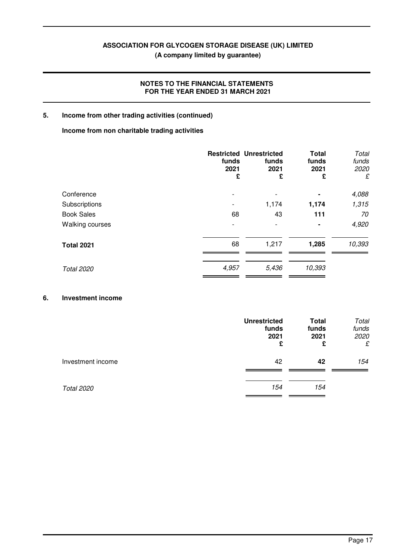#### **NOTES TO THE FINANCIAL STATEMENTS FOR THE YEAR ENDED 31 MARCH 2021**

#### **5. Income from other trading activities (continued)**

#### **Income from non charitable trading activities**

|                        | funds<br>2021<br>£ | <b>Restricted Unrestricted</b><br>funds<br>2021<br>£ | <b>Total</b><br>funds<br>2021<br>£ | Total<br>funds<br>2020<br>£ |
|------------------------|--------------------|------------------------------------------------------|------------------------------------|-----------------------------|
| Conference             |                    |                                                      |                                    | 4,088                       |
| Subscriptions          |                    | 1,174                                                | 1,174                              | 1,315                       |
| <b>Book Sales</b>      | 68                 | 43                                                   | 111                                | 70                          |
| <b>Walking courses</b> |                    | ٠                                                    | $\blacksquare$                     | 4,920                       |
| <b>Total 2021</b>      | 68                 | 1,217                                                | 1,285                              | 10,393                      |
| <b>Total 2020</b>      | 4,957              | 5,436                                                | 10,393                             |                             |

#### **6. Investment income**

|                   | <b>Unrestricted</b><br>funds<br>2021<br>£ | <b>Total</b><br>funds<br>2021<br>£ | Total<br>funds<br>2020<br>£ |
|-------------------|-------------------------------------------|------------------------------------|-----------------------------|
| Investment income | 42                                        | 42                                 | 154                         |
| <b>Total 2020</b> | 154                                       | 154                                |                             |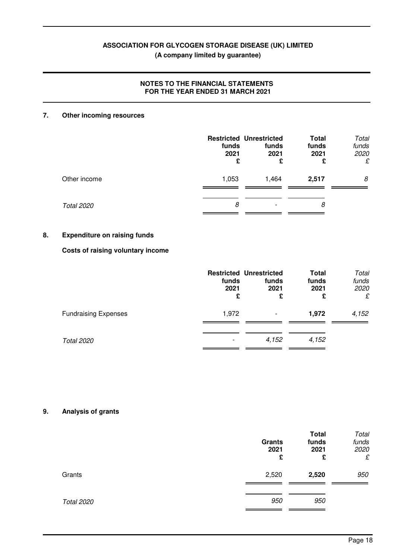#### **NOTES TO THE FINANCIAL STATEMENTS FOR THE YEAR ENDED 31 MARCH 2021**

#### **7. Other incoming resources**

|                   | funds<br>2021<br>£ | <b>Restricted Unrestricted</b><br>funds<br>2021<br>£ | <b>Total</b><br>funds<br>2021<br>£ | Total<br>funds<br>2020<br>£ |
|-------------------|--------------------|------------------------------------------------------|------------------------------------|-----------------------------|
| Other income      | 1,053              | 1,464                                                | 2,517                              | 8                           |
| <b>Total 2020</b> | 8                  |                                                      | 8                                  |                             |

#### **8. Expenditure on raising funds**

#### **Costs of raising voluntary income**

|                             | funds<br>2021<br>£ | <b>Restricted Unrestricted</b><br>funds<br>2021<br>£ | <b>Total</b><br>funds<br>2021<br>£ | Total<br>funds<br>2020<br>£ |
|-----------------------------|--------------------|------------------------------------------------------|------------------------------------|-----------------------------|
| <b>Fundraising Expenses</b> | 1,972              |                                                      | 1,972                              | 4,152                       |
| <b>Total 2020</b>           |                    | 4,152                                                | 4,152                              |                             |

#### **9. Analysis of grants**

|                   | <b>Grants</b><br>2021<br>£ | <b>Total</b><br>funds<br>2021<br>£ | Total<br>funds<br>2020<br>£ |
|-------------------|----------------------------|------------------------------------|-----------------------------|
| Grants            | 2,520                      | 2,520                              | 950                         |
| <b>Total 2020</b> | 950                        | 950                                |                             |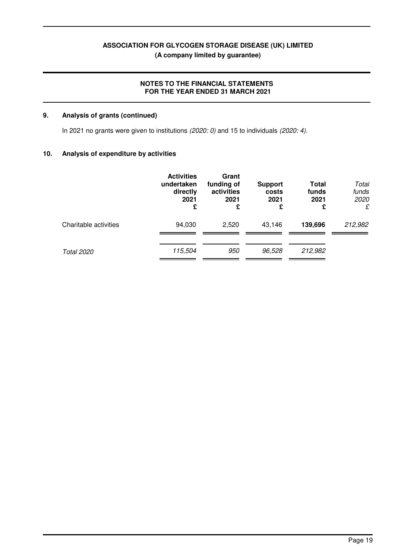#### **NOTES TO THE FINANCIAL STATEMENTS FOR THE YEAR ENDED 31 MARCH 2021**

#### **9. Analysis of grants (continued)**

In 2021 no grants were given to institutions *(2020: 0)* and 15 to individuals *(2020: 4).*

#### **10. Analysis of expenditure by activities**

|                       | <b>Activities</b><br>undertaken<br>directly<br>2021<br>£ | Grant<br>funding of<br>activities<br>2021<br>£ | <b>Support</b><br>costs<br>2021<br>£ | <b>Total</b><br>funds<br>2021<br>£ | Total<br>funds<br>2020<br>£ |
|-----------------------|----------------------------------------------------------|------------------------------------------------|--------------------------------------|------------------------------------|-----------------------------|
| Charitable activities | 94,030                                                   | 2,520                                          | 43,146                               | 139,696                            | 212,982                     |
| <b>Total 2020</b>     | 115,504                                                  | 950                                            | 96,528                               | 212,982                            |                             |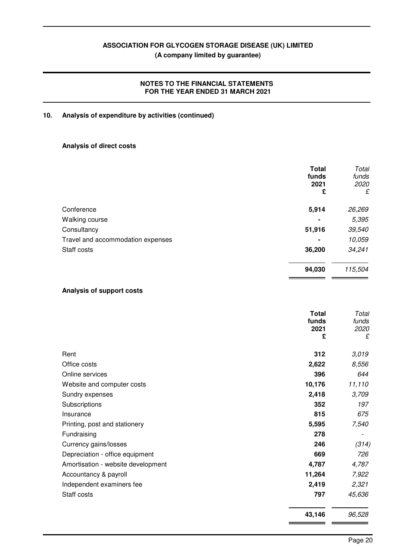#### **NOTES TO THE FINANCIAL STATEMENTS FOR THE YEAR ENDED 31 MARCH 2021**

#### **10. Analysis of expenditure by activities (continued)**

#### **Analysis of direct costs**

| <b>Total</b><br>funds<br>2021<br>£ | Total<br>funds<br>2020<br>£ |
|------------------------------------|-----------------------------|
| 5,914                              | 26,269                      |
|                                    | 5,395                       |
| 51,916                             | 39,540                      |
| -                                  | 10,059                      |
| 36,200                             | 34,241                      |
| 94,030                             | 115,504                     |
|                                    |                             |

#### **Analysis of support costs**

|                                    | <b>Total</b><br>funds<br>2021<br>£ | Total<br>funds<br>2020<br>£ |
|------------------------------------|------------------------------------|-----------------------------|
| Rent                               | 312                                | 3,019                       |
| Office costs                       | 2,622                              | 8,556                       |
| Online services                    | 396                                | 644                         |
| Website and computer costs         | 10,176                             | 11,110                      |
| Sundry expenses                    | 2,418                              | 3,709                       |
| Subscriptions                      | 352                                | 197                         |
| Insurance                          | 815                                | 675                         |
| Printing, post and stationery      | 5,595                              | 7,540                       |
| Fundraising                        | 278                                |                             |
| Currency gains/losses              | 246                                | (314)                       |
| Depreciation - office equipment    | 669                                | 726                         |
| Amortisation - website development | 4,787                              | 4,787                       |
| Accountancy & payroll              | 11,264                             | 7,922                       |
| Independent examiners fee          | 2,419                              | 2,321                       |
| Staff costs                        | 797                                | 45,636                      |
|                                    | 43,146                             | 96,528                      |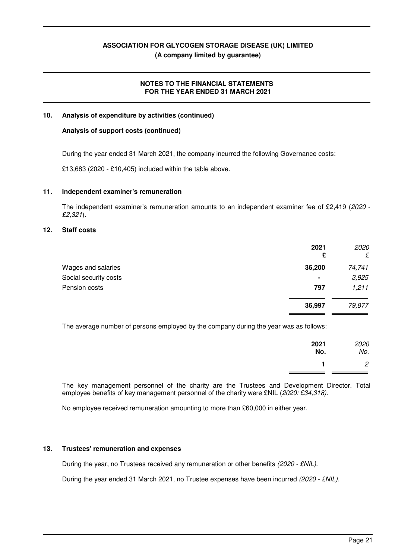#### **NOTES TO THE FINANCIAL STATEMENTS FOR THE YEAR ENDED 31 MARCH 2021**

#### **10. Analysis of expenditure by activities (continued)**

#### **Analysis of support costs (continued)**

During the year ended 31 March 2021, the company incurred the following Governance costs:

£13,683 (2020 - £10,405) included within the table above.

#### **11. Independent examiner's remuneration**

The independent examiner's remuneration amounts to an independent examiner fee of £2,419 (*2020* - *£2,321*).

#### **12. Staff costs**

|                       | 2021<br>£      | 2020<br>£ |
|-----------------------|----------------|-----------|
| Wages and salaries    | 36,200         | 74,741    |
| Social security costs | $\blacksquare$ | 3,925     |
| Pension costs         | 797            | 1,211     |
|                       | 36,997         | 79,877    |

The average number of persons employed by the company during the year was as follows:

| 2021<br>No. | 2020<br>No. |
|-------------|-------------|
|             |             |

The key management personnel of the charity are the Trustees and Development Director. Total employee benefits of key management personnel of the charity were £NIL (*2020: £34,318)*.

No employee received remuneration amounting to more than £60,000 in either year.

#### **13. Trustees' remuneration and expenses**

During the year, no Trustees received any remuneration or other benefits *(2020 - £NIL)*.

During the year ended 31 March 2021, no Trustee expenses have been incurred *(2020 - £NIL)*.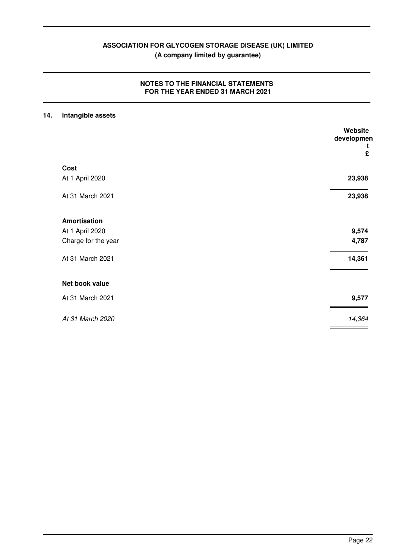#### **NOTES TO THE FINANCIAL STATEMENTS FOR THE YEAR ENDED 31 MARCH 2021**

#### **14. Intangible assets**

|                     | Website<br>developmen<br>£ |
|---------------------|----------------------------|
| Cost                |                            |
| At 1 April 2020     | 23,938                     |
| At 31 March 2021    | 23,938                     |
| <b>Amortisation</b> |                            |
| At 1 April 2020     | 9,574                      |
| Charge for the year | 4,787                      |
| At 31 March 2021    | 14,361                     |
| Net book value      |                            |
| At 31 March 2021    | 9,577                      |
| At 31 March 2020    | 14,364                     |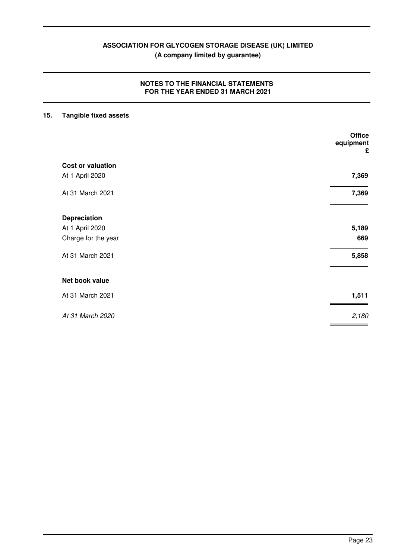#### **NOTES TO THE FINANCIAL STATEMENTS FOR THE YEAR ENDED 31 MARCH 2021**

### **15. Tangible fixed assets**

|                          | <b>Office</b><br>equipment<br>£ |
|--------------------------|---------------------------------|
| <b>Cost or valuation</b> |                                 |
| At 1 April 2020          | 7,369                           |
| At 31 March 2021         | 7,369                           |
| <b>Depreciation</b>      |                                 |
| At 1 April 2020          | 5,189                           |
| Charge for the year      | 669                             |
| At 31 March 2021         | 5,858                           |
| Net book value           |                                 |
| At 31 March 2021         | 1,511                           |
| At 31 March 2020         | 2,180                           |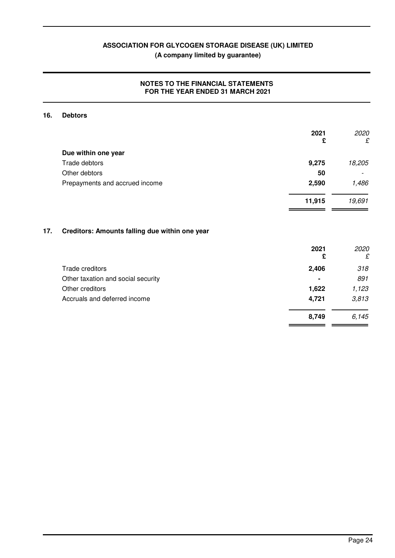#### **NOTES TO THE FINANCIAL STATEMENTS FOR THE YEAR ENDED 31 MARCH 2021**

#### **16. Debtors**

|     |                                                | 2021<br>£ | 2020<br>£ |
|-----|------------------------------------------------|-----------|-----------|
|     | Due within one year                            |           |           |
|     | Trade debtors                                  | 9,275     | 18,205    |
|     | Other debtors                                  | 50        |           |
|     | Prepayments and accrued income                 | 2,590     | 1,486     |
|     |                                                | 11,915    | 19,691    |
| 17. | Creditors: Amounts falling due within one year |           |           |
|     |                                                | 2021<br>£ | 2020<br>£ |
|     | Trade creditors                                | 2,406     | 318       |
|     | Other taxation and social security             |           | 891       |
|     | Other creditors                                | 1,622     | 1,123     |
|     | Accruals and deferred income                   | 4,721     | 3,813     |
|     |                                                | 8,749     | 6,145     |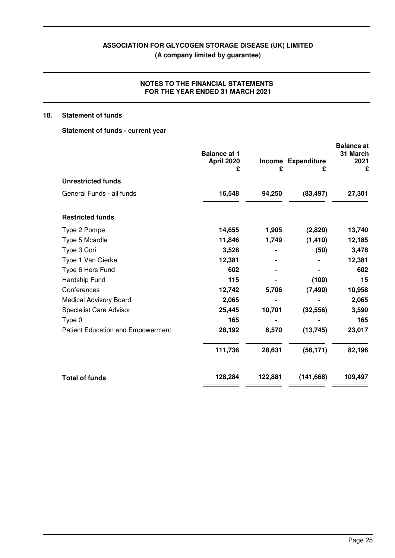#### **NOTES TO THE FINANCIAL STATEMENTS FOR THE YEAR ENDED 31 MARCH 2021**

#### **18. Statement of funds**

#### **Statement of funds - current year**

|                                   | <b>Balance at 1</b><br>April 2020<br>£ | £       | Income Expenditure<br>£ | <b>Balance</b> at<br>31 March<br>2021<br>£ |
|-----------------------------------|----------------------------------------|---------|-------------------------|--------------------------------------------|
| <b>Unrestricted funds</b>         |                                        |         |                         |                                            |
| General Funds - all funds         | 16,548                                 | 94,250  | (83, 497)               | 27,301                                     |
| <b>Restricted funds</b>           |                                        |         |                         |                                            |
| Type 2 Pompe                      | 14,655                                 | 1,905   | (2,820)                 | 13,740                                     |
| Type 5 Mcardle                    | 11,846                                 | 1,749   | (1, 410)                | 12,185                                     |
| Type 3 Cori                       | 3,528                                  |         | (50)                    | 3,478                                      |
| Type 1 Van Gierke                 | 12,381                                 |         |                         | 12,381                                     |
| Type 6 Hers Fund                  | 602                                    |         |                         | 602                                        |
| Hardship Fund                     | 115                                    |         | (100)                   | 15                                         |
| Conferences                       | 12,742                                 | 5,706   | (7, 490)                | 10,958                                     |
| <b>Medical Advisory Board</b>     | 2,065                                  |         |                         | 2,065                                      |
| <b>Specialist Care Advisor</b>    | 25,445                                 | 10,701  | (32, 556)               | 3,590                                      |
| Type 0                            | 165                                    |         |                         | 165                                        |
| Patient Education and Empowerment | 28,192                                 | 8,570   | (13, 745)               | 23,017                                     |
|                                   | 111,736                                | 28,631  | (58, 171)               | 82,196                                     |
| <b>Total of funds</b>             | 128,284                                | 122,881 | (141, 668)              | 109,497                                    |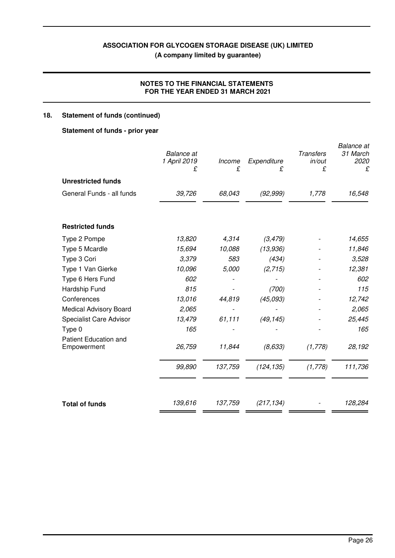#### **NOTES TO THE FINANCIAL STATEMENTS FOR THE YEAR ENDED 31 MARCH 2021**

### **18. Statement of funds (continued)**

#### **Statement of funds - prior year**

|                                             | <b>Balance</b> at<br>1 April 2019<br>£ | Income<br>£ | Expenditure<br>£ | <b>Transfers</b><br>in/out<br>£ | <b>Balance</b> at<br>31 March<br>2020<br>£ |
|---------------------------------------------|----------------------------------------|-------------|------------------|---------------------------------|--------------------------------------------|
| <b>Unrestricted funds</b>                   |                                        |             |                  |                                 |                                            |
| General Funds - all funds                   | 39,726                                 | 68,043      | (92, 999)        | 1,778                           | 16,548                                     |
| <b>Restricted funds</b>                     |                                        |             |                  |                                 |                                            |
| Type 2 Pompe                                | 13,820                                 | 4,314       | (3, 479)         |                                 | 14,655                                     |
| Type 5 Mcardle                              | 15,694                                 | 10,088      | (13, 936)        |                                 | 11,846                                     |
| Type 3 Cori                                 | 3,379                                  | 583         | (434)            |                                 | 3,528                                      |
| Type 1 Van Gierke                           | 10,096                                 | 5,000       | (2,715)          |                                 | 12,381                                     |
| Type 6 Hers Fund                            | 602                                    |             |                  |                                 | 602                                        |
| Hardship Fund                               | 815                                    |             | (700)            |                                 | 115                                        |
| Conferences                                 | 13,016                                 | 44,819      | (45,093)         |                                 | 12,742                                     |
| <b>Medical Advisory Board</b>               | 2,065                                  |             |                  |                                 | 2,065                                      |
| <b>Specialist Care Advisor</b>              | 13,479                                 | 61,111      | (49, 145)        |                                 | 25,445                                     |
| Type 0                                      | 165                                    |             |                  |                                 | 165                                        |
| <b>Patient Education and</b><br>Empowerment | 26,759                                 | 11,844      | (8, 633)         | (1,778)                         | 28,192                                     |
|                                             | 99,890                                 | 137,759     | (124, 135)       | (1,778)                         | 111,736                                    |
| <b>Total of funds</b>                       | 139,616                                | 137,759     | (217, 134)       |                                 | 128,284                                    |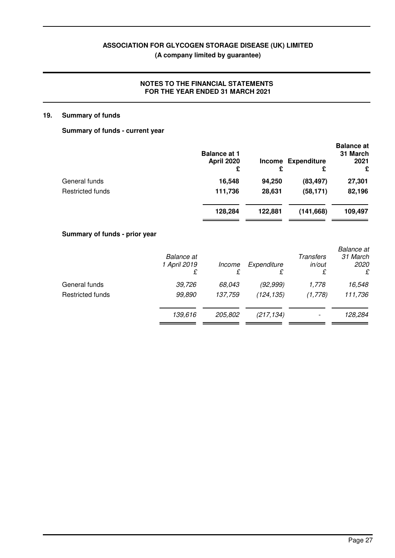#### **NOTES TO THE FINANCIAL STATEMENTS FOR THE YEAR ENDED 31 MARCH 2021**

#### **19. Summary of funds**

#### **Summary of funds - current year**

|                         | <b>Balance at 1</b><br><b>April 2020</b><br>£ | £       | Income Expenditure<br>£ | <b>Balance</b> at<br>31 March<br>2021<br>£ |
|-------------------------|-----------------------------------------------|---------|-------------------------|--------------------------------------------|
| General funds           | 16,548                                        | 94,250  | (83, 497)               | 27,301                                     |
| <b>Restricted funds</b> | 111,736                                       | 28,631  | (58, 171)               | 82,196                                     |
|                         | 128,284                                       | 122.881 | (141,668)               | 109,497                                    |

#### **Summary of funds - prior year**

|                         | <b>Balance</b> at<br>1 April 2019<br>£ | Income<br>£ | Expenditure<br>£ | Transfers<br>in/out<br>£ | <b>Balance</b> at<br>31 March<br><i>2020</i><br>£ |
|-------------------------|----------------------------------------|-------------|------------------|--------------------------|---------------------------------------------------|
| General funds           | 39,726                                 | 68,043      | (92,999)         | 1,778                    | 16,548                                            |
| <b>Restricted funds</b> | 99,890                                 | 137,759     | (124, 135)       | (1,778)                  | 111,736                                           |
|                         | 139,616                                | 205,802     | (217, 134)       | $\overline{\phantom{0}}$ | 128,284                                           |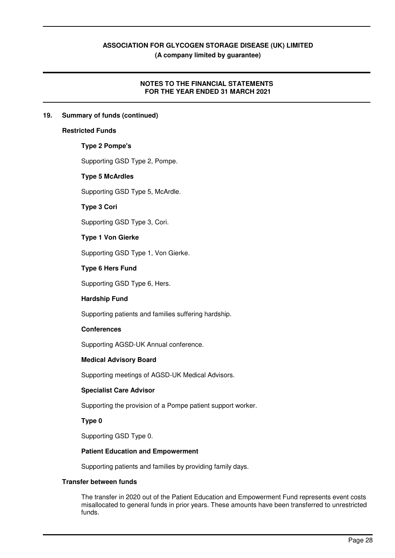#### **NOTES TO THE FINANCIAL STATEMENTS FOR THE YEAR ENDED 31 MARCH 2021**

#### **19. Summary of funds (continued)**

#### **Restricted Funds**

#### **Type 2 Pompe's**

Supporting GSD Type 2, Pompe.

#### **Type 5 McArdles**

Supporting GSD Type 5, McArdle.

#### **Type 3 Cori**

Supporting GSD Type 3, Cori.

#### **Type 1 Von Gierke**

Supporting GSD Type 1, Von Gierke.

#### **Type 6 Hers Fund**

Supporting GSD Type 6, Hers.

#### **Hardship Fund**

Supporting patients and families suffering hardship.

#### **Conferences**

Supporting AGSD-UK Annual conference.

#### **Medical Advisory Board**

Supporting meetings of AGSD-UK Medical Advisors.

#### **Specialist Care Advisor**

Supporting the provision of a Pompe patient support worker.

#### **Type 0**

Supporting GSD Type 0.

#### **Patient Education and Empowerment**

Supporting patients and families by providing family days.

#### **Transfer between funds**

The transfer in 2020 out of the Patient Education and Empowerment Fund represents event costs misallocated to general funds in prior years. These amounts have been transferred to unrestricted funds.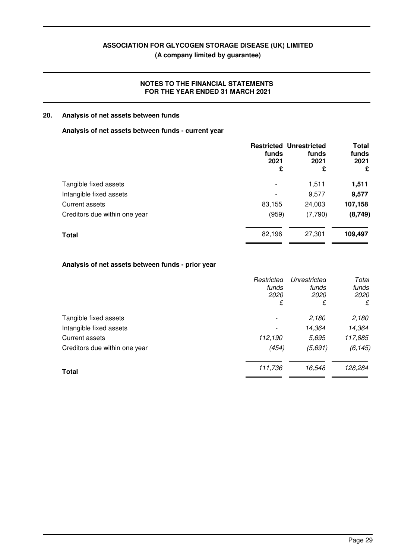**(A company limited by guarantee)**

#### **NOTES TO THE FINANCIAL STATEMENTS FOR THE YEAR ENDED 31 MARCH 2021**

#### **20. Analysis of net assets between funds**

#### **Analysis of net assets between funds - current year**

| 2021<br>£ |
|-----------|
|           |
| 1,511     |
| 9,577     |
| 107,158   |
| (8,749)   |
| 109,497   |
|           |

#### **Analysis of net assets between funds - prior year**

|                               | Restricted<br>funds<br>2020<br>£ | Unrestricted<br>funds<br>2020<br>£ | Total<br>funds<br>2020<br>£ |
|-------------------------------|----------------------------------|------------------------------------|-----------------------------|
| Tangible fixed assets         |                                  | 2,180                              | 2,180                       |
| Intangible fixed assets       |                                  | 14,364                             | 14,364                      |
| Current assets                | 112,190                          | 5,695                              | 117,885                     |
| Creditors due within one year | (454)                            | (5,691)                            | (6, 145)                    |
| <b>Total</b>                  | 111,736                          | 16,548                             | 128,284                     |